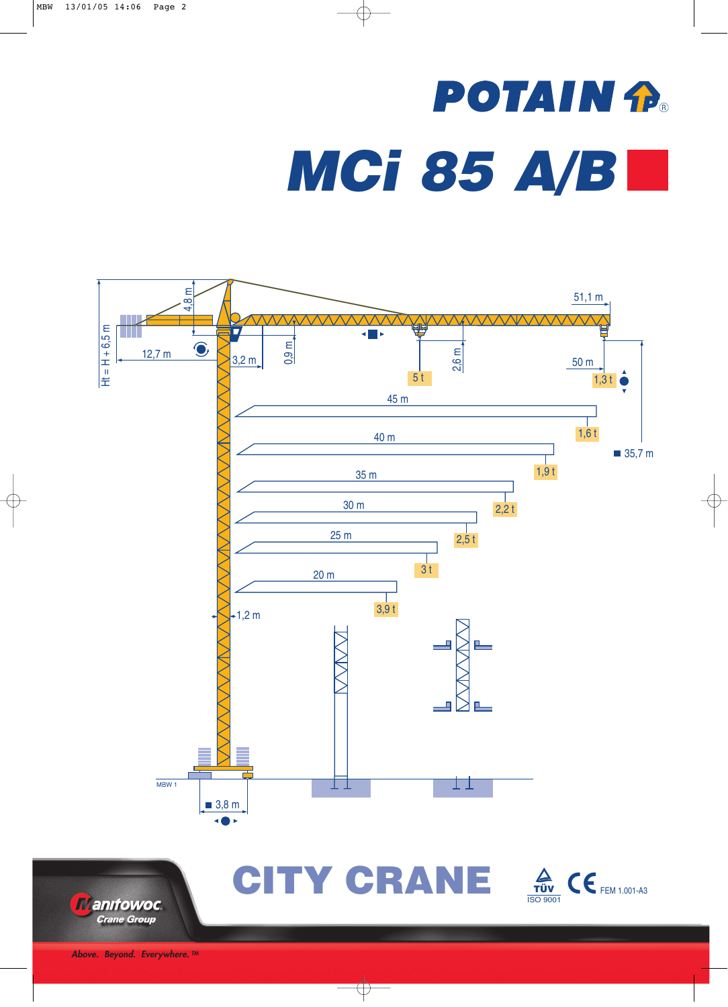## **POTAIN P.** *MCi 85 A/B*





CITY CRANE  $\frac{A}{TUV}$  (E FEM 1.001-A3 ISO 9001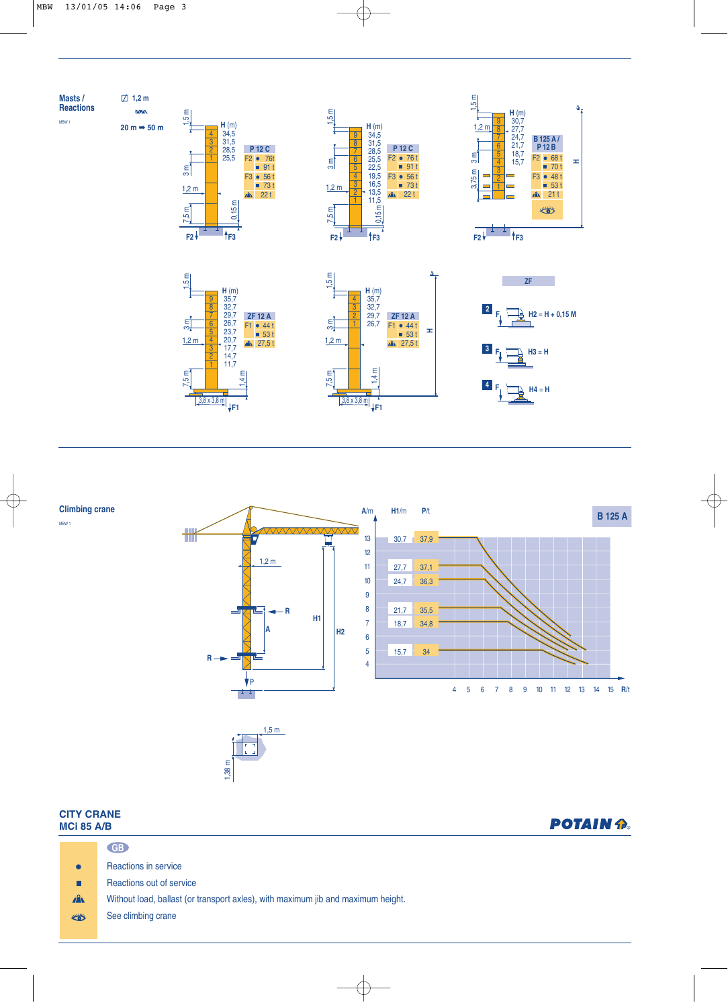



## **CITY CRANE M**

**Climbing crane**

MBW 1

| JII VNANE<br><b>ACi 85 A/B</b> |                                                                                  | <b>POTAIN P.</b> |  |  |
|--------------------------------|----------------------------------------------------------------------------------|------------------|--|--|
|                                | GB                                                                               |                  |  |  |
| $\bullet$                      | <b>Reactions in service</b>                                                      |                  |  |  |
| П                              | Reactions out of service                                                         |                  |  |  |
| $\mathbf{A}$                   | Without load, ballast (or transport axles), with maximum jib and maximum height. |                  |  |  |
| ₩                              | See climbing crane                                                               |                  |  |  |
|                                |                                                                                  |                  |  |  |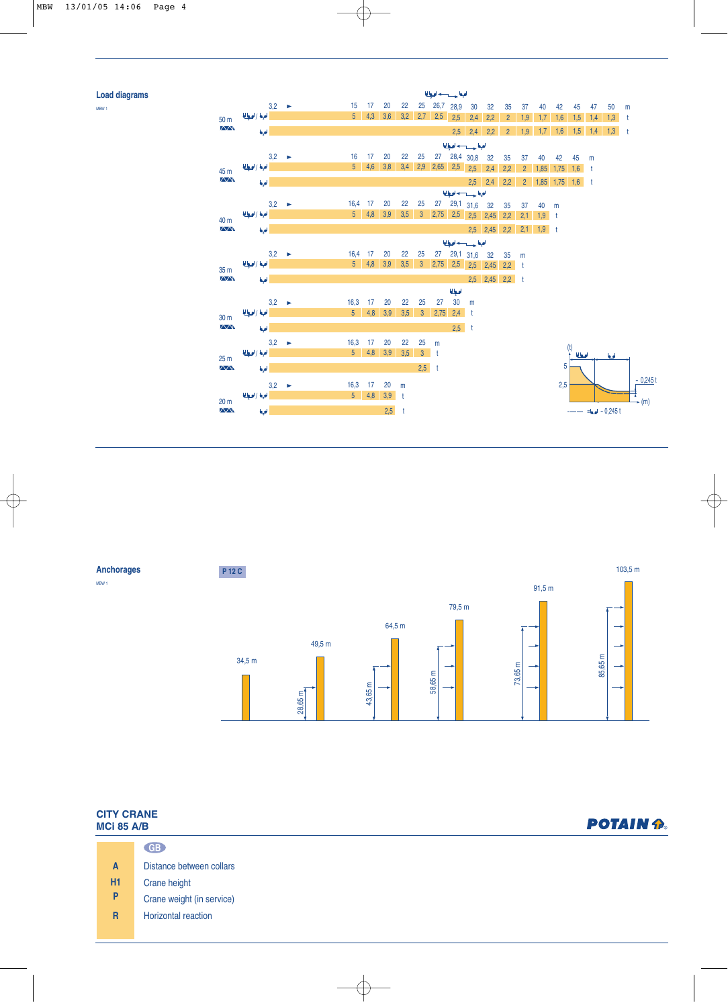## **Load diagrams**





| <b>CITY CRANE</b><br><b>MCi 85 A/B</b> |                |                           | <b>POTAIN P.</b> |  |  |  |  |
|----------------------------------------|----------------|---------------------------|------------------|--|--|--|--|
|                                        |                | GB                        |                  |  |  |  |  |
|                                        | $\mathbf{A}$   | Distance between collars  |                  |  |  |  |  |
|                                        | <b>H1</b>      | Crane height              |                  |  |  |  |  |
|                                        | P              | Crane weight (in service) |                  |  |  |  |  |
|                                        | $\overline{R}$ | Horizontal reaction       |                  |  |  |  |  |
|                                        |                |                           |                  |  |  |  |  |